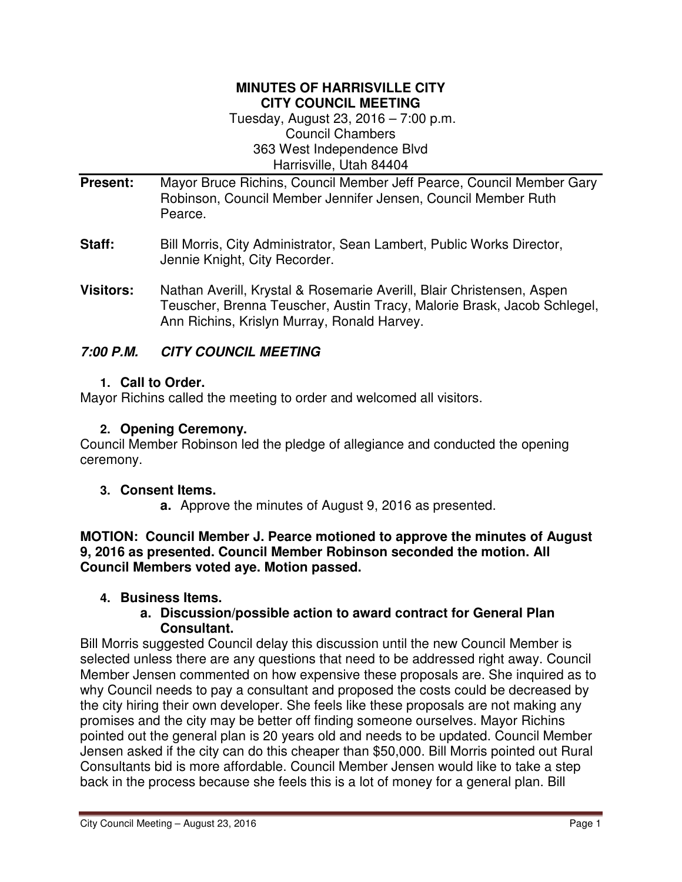#### **MINUTES OF HARRISVILLE CITY CITY COUNCIL MEETING**

Tuesday, August 23, 2016 – 7:00 p.m. Council Chambers 363 West Independence Blvd Harrisville, Utah 84404

- **Present:** Mayor Bruce Richins, Council Member Jeff Pearce, Council Member Gary Robinson, Council Member Jennifer Jensen, Council Member Ruth Pearce.
- **Staff:** Bill Morris, City Administrator, Sean Lambert, Public Works Director, Jennie Knight, City Recorder.
- **Visitors:** Nathan Averill, Krystal & Rosemarie Averill, Blair Christensen, Aspen Teuscher, Brenna Teuscher, Austin Tracy, Malorie Brask, Jacob Schlegel, Ann Richins, Krislyn Murray, Ronald Harvey.

# **7:00 P.M. CITY COUNCIL MEETING**

# **1. Call to Order.**

Mayor Richins called the meeting to order and welcomed all visitors.

#### **2. Opening Ceremony.**

Council Member Robinson led the pledge of allegiance and conducted the opening ceremony.

#### **3. Consent Items.**

**a.** Approve the minutes of August 9, 2016 as presented.

**MOTION: Council Member J. Pearce motioned to approve the minutes of August 9, 2016 as presented. Council Member Robinson seconded the motion. All Council Members voted aye. Motion passed.** 

# **4. Business Items.**

#### **a. Discussion/possible action to award contract for General Plan Consultant.**

Bill Morris suggested Council delay this discussion until the new Council Member is selected unless there are any questions that need to be addressed right away. Council Member Jensen commented on how expensive these proposals are. She inquired as to why Council needs to pay a consultant and proposed the costs could be decreased by the city hiring their own developer. She feels like these proposals are not making any promises and the city may be better off finding someone ourselves. Mayor Richins pointed out the general plan is 20 years old and needs to be updated. Council Member Jensen asked if the city can do this cheaper than \$50,000. Bill Morris pointed out Rural Consultants bid is more affordable. Council Member Jensen would like to take a step back in the process because she feels this is a lot of money for a general plan. Bill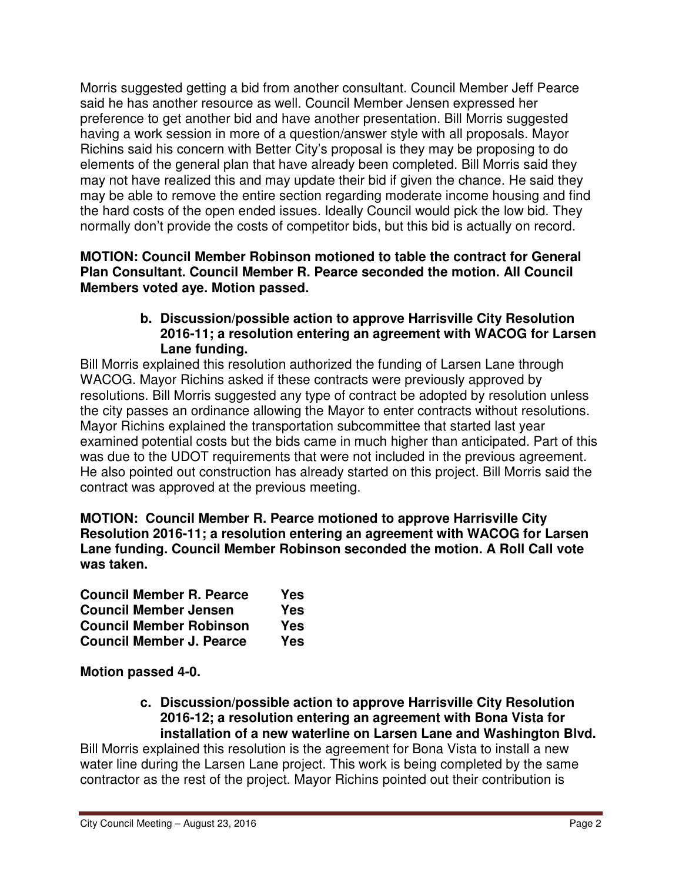Morris suggested getting a bid from another consultant. Council Member Jeff Pearce said he has another resource as well. Council Member Jensen expressed her preference to get another bid and have another presentation. Bill Morris suggested having a work session in more of a question/answer style with all proposals. Mayor Richins said his concern with Better City's proposal is they may be proposing to do elements of the general plan that have already been completed. Bill Morris said they may not have realized this and may update their bid if given the chance. He said they may be able to remove the entire section regarding moderate income housing and find the hard costs of the open ended issues. Ideally Council would pick the low bid. They normally don't provide the costs of competitor bids, but this bid is actually on record.

**MOTION: Council Member Robinson motioned to table the contract for General Plan Consultant. Council Member R. Pearce seconded the motion. All Council Members voted aye. Motion passed.** 

### **b. Discussion/possible action to approve Harrisville City Resolution 2016-11; a resolution entering an agreement with WACOG for Larsen Lane funding.**

Bill Morris explained this resolution authorized the funding of Larsen Lane through WACOG. Mayor Richins asked if these contracts were previously approved by resolutions. Bill Morris suggested any type of contract be adopted by resolution unless the city passes an ordinance allowing the Mayor to enter contracts without resolutions. Mayor Richins explained the transportation subcommittee that started last year examined potential costs but the bids came in much higher than anticipated. Part of this was due to the UDOT requirements that were not included in the previous agreement. He also pointed out construction has already started on this project. Bill Morris said the contract was approved at the previous meeting.

**MOTION: Council Member R. Pearce motioned to approve Harrisville City Resolution 2016-11; a resolution entering an agreement with WACOG for Larsen Lane funding. Council Member Robinson seconded the motion. A Roll Call vote was taken.** 

| <b>Council Member R. Pearce</b> | Yes |
|---------------------------------|-----|
| <b>Council Member Jensen</b>    | Yes |
| <b>Council Member Robinson</b>  | Yes |
| <b>Council Member J. Pearce</b> | Yes |

**Motion passed 4-0.**

**c. Discussion/possible action to approve Harrisville City Resolution 2016-12; a resolution entering an agreement with Bona Vista for installation of a new waterline on Larsen Lane and Washington Blvd.**

Bill Morris explained this resolution is the agreement for Bona Vista to install a new water line during the Larsen Lane project. This work is being completed by the same contractor as the rest of the project. Mayor Richins pointed out their contribution is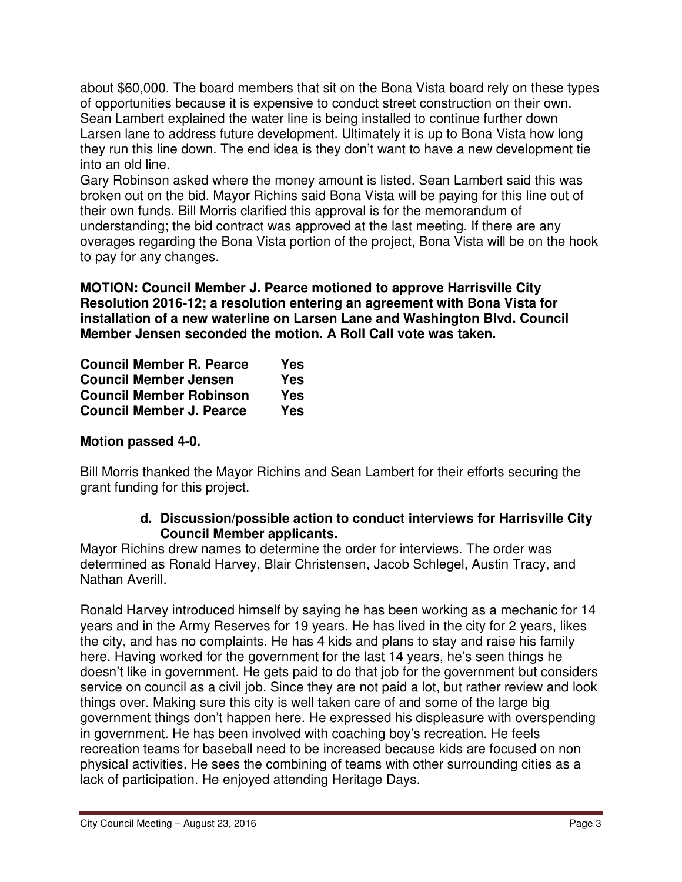about \$60,000. The board members that sit on the Bona Vista board rely on these types of opportunities because it is expensive to conduct street construction on their own. Sean Lambert explained the water line is being installed to continue further down Larsen lane to address future development. Ultimately it is up to Bona Vista how long they run this line down. The end idea is they don't want to have a new development tie into an old line.

Gary Robinson asked where the money amount is listed. Sean Lambert said this was broken out on the bid. Mayor Richins said Bona Vista will be paying for this line out of their own funds. Bill Morris clarified this approval is for the memorandum of understanding; the bid contract was approved at the last meeting. If there are any overages regarding the Bona Vista portion of the project, Bona Vista will be on the hook to pay for any changes.

**MOTION: Council Member J. Pearce motioned to approve Harrisville City Resolution 2016-12; a resolution entering an agreement with Bona Vista for installation of a new waterline on Larsen Lane and Washington Blvd. Council Member Jensen seconded the motion. A Roll Call vote was taken.** 

| <b>Council Member R. Pearce</b> | Yes |
|---------------------------------|-----|
| <b>Council Member Jensen</b>    | Yes |
| <b>Council Member Robinson</b>  | Yes |
| <b>Council Member J. Pearce</b> | Yes |

# **Motion passed 4-0.**

Bill Morris thanked the Mayor Richins and Sean Lambert for their efforts securing the grant funding for this project.

#### **d. Discussion/possible action to conduct interviews for Harrisville City Council Member applicants.**

Mayor Richins drew names to determine the order for interviews. The order was determined as Ronald Harvey, Blair Christensen, Jacob Schlegel, Austin Tracy, and Nathan Averill.

Ronald Harvey introduced himself by saying he has been working as a mechanic for 14 years and in the Army Reserves for 19 years. He has lived in the city for 2 years, likes the city, and has no complaints. He has 4 kids and plans to stay and raise his family here. Having worked for the government for the last 14 years, he's seen things he doesn't like in government. He gets paid to do that job for the government but considers service on council as a civil job. Since they are not paid a lot, but rather review and look things over. Making sure this city is well taken care of and some of the large big government things don't happen here. He expressed his displeasure with overspending in government. He has been involved with coaching boy's recreation. He feels recreation teams for baseball need to be increased because kids are focused on non physical activities. He sees the combining of teams with other surrounding cities as a lack of participation. He enjoyed attending Heritage Days.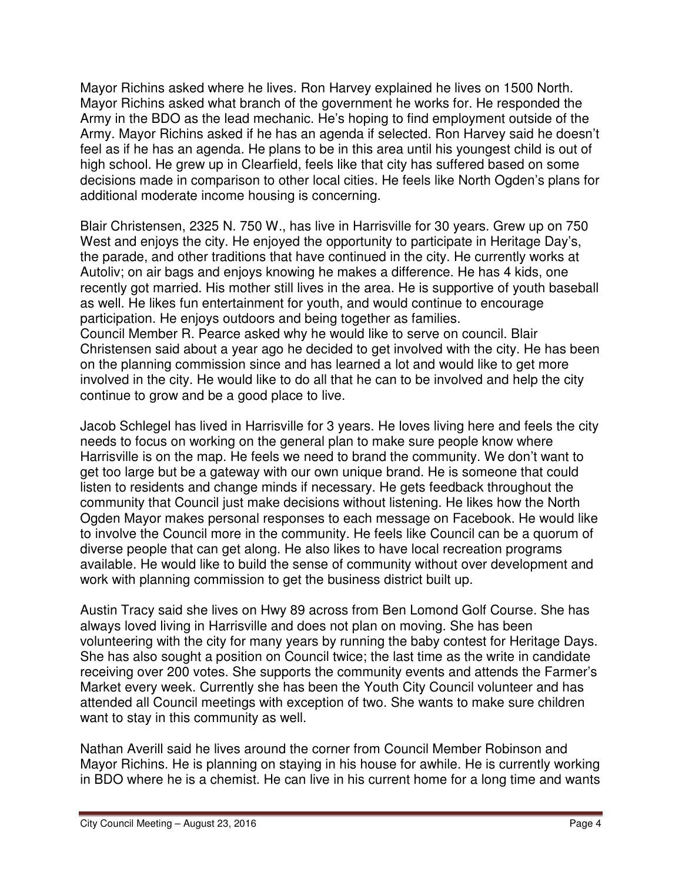Mayor Richins asked where he lives. Ron Harvey explained he lives on 1500 North. Mayor Richins asked what branch of the government he works for. He responded the Army in the BDO as the lead mechanic. He's hoping to find employment outside of the Army. Mayor Richins asked if he has an agenda if selected. Ron Harvey said he doesn't feel as if he has an agenda. He plans to be in this area until his youngest child is out of high school. He grew up in Clearfield, feels like that city has suffered based on some decisions made in comparison to other local cities. He feels like North Ogden's plans for additional moderate income housing is concerning.

Blair Christensen, 2325 N. 750 W., has live in Harrisville for 30 years. Grew up on 750 West and enjoys the city. He enjoyed the opportunity to participate in Heritage Day's, the parade, and other traditions that have continued in the city. He currently works at Autoliv; on air bags and enjoys knowing he makes a difference. He has 4 kids, one recently got married. His mother still lives in the area. He is supportive of youth baseball as well. He likes fun entertainment for youth, and would continue to encourage participation. He enjoys outdoors and being together as families. Council Member R. Pearce asked why he would like to serve on council. Blair Christensen said about a year ago he decided to get involved with the city. He has been on the planning commission since and has learned a lot and would like to get more involved in the city. He would like to do all that he can to be involved and help the city continue to grow and be a good place to live.

Jacob Schlegel has lived in Harrisville for 3 years. He loves living here and feels the city needs to focus on working on the general plan to make sure people know where Harrisville is on the map. He feels we need to brand the community. We don't want to get too large but be a gateway with our own unique brand. He is someone that could listen to residents and change minds if necessary. He gets feedback throughout the community that Council just make decisions without listening. He likes how the North Ogden Mayor makes personal responses to each message on Facebook. He would like to involve the Council more in the community. He feels like Council can be a quorum of diverse people that can get along. He also likes to have local recreation programs available. He would like to build the sense of community without over development and work with planning commission to get the business district built up.

Austin Tracy said she lives on Hwy 89 across from Ben Lomond Golf Course. She has always loved living in Harrisville and does not plan on moving. She has been volunteering with the city for many years by running the baby contest for Heritage Days. She has also sought a position on Council twice; the last time as the write in candidate receiving over 200 votes. She supports the community events and attends the Farmer's Market every week. Currently she has been the Youth City Council volunteer and has attended all Council meetings with exception of two. She wants to make sure children want to stay in this community as well.

Nathan Averill said he lives around the corner from Council Member Robinson and Mayor Richins. He is planning on staying in his house for awhile. He is currently working in BDO where he is a chemist. He can live in his current home for a long time and wants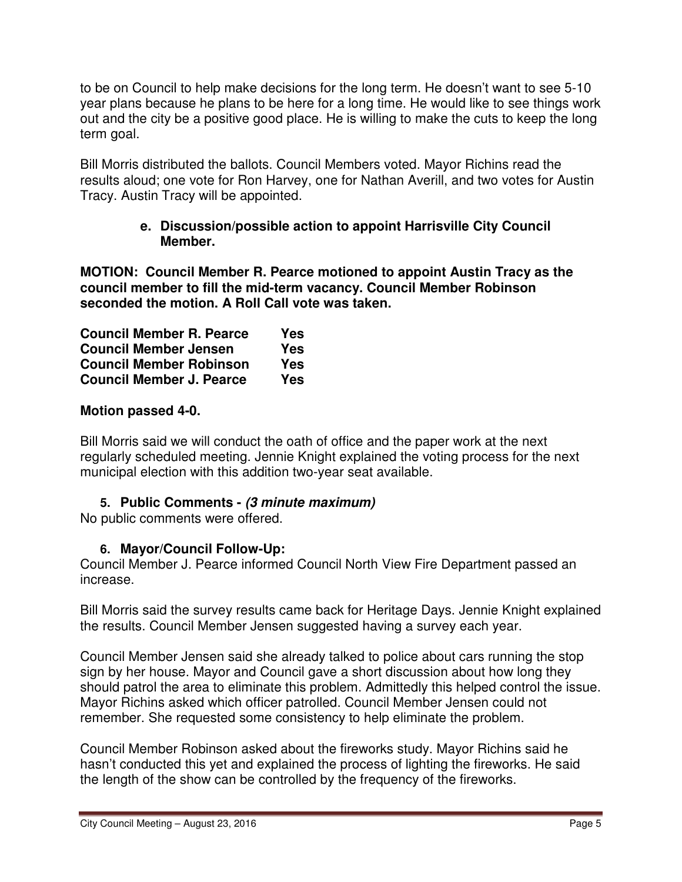to be on Council to help make decisions for the long term. He doesn't want to see 5-10 year plans because he plans to be here for a long time. He would like to see things work out and the city be a positive good place. He is willing to make the cuts to keep the long term goal.

Bill Morris distributed the ballots. Council Members voted. Mayor Richins read the results aloud; one vote for Ron Harvey, one for Nathan Averill, and two votes for Austin Tracy. Austin Tracy will be appointed.

### **e. Discussion/possible action to appoint Harrisville City Council Member.**

**MOTION: Council Member R. Pearce motioned to appoint Austin Tracy as the council member to fill the mid-term vacancy. Council Member Robinson seconded the motion. A Roll Call vote was taken.** 

| <b>Council Member R. Pearce</b> | Yes |
|---------------------------------|-----|
| <b>Council Member Jensen</b>    | Yes |
| <b>Council Member Robinson</b>  | Yes |
| <b>Council Member J. Pearce</b> | Yes |

# **Motion passed 4-0.**

Bill Morris said we will conduct the oath of office and the paper work at the next regularly scheduled meeting. Jennie Knight explained the voting process for the next municipal election with this addition two-year seat available.

# **5. Public Comments - (3 minute maximum)**

No public comments were offered.

# **6. Mayor/Council Follow-Up:**

Council Member J. Pearce informed Council North View Fire Department passed an increase.

Bill Morris said the survey results came back for Heritage Days. Jennie Knight explained the results. Council Member Jensen suggested having a survey each year.

Council Member Jensen said she already talked to police about cars running the stop sign by her house. Mayor and Council gave a short discussion about how long they should patrol the area to eliminate this problem. Admittedly this helped control the issue. Mayor Richins asked which officer patrolled. Council Member Jensen could not remember. She requested some consistency to help eliminate the problem.

Council Member Robinson asked about the fireworks study. Mayor Richins said he hasn't conducted this yet and explained the process of lighting the fireworks. He said the length of the show can be controlled by the frequency of the fireworks.